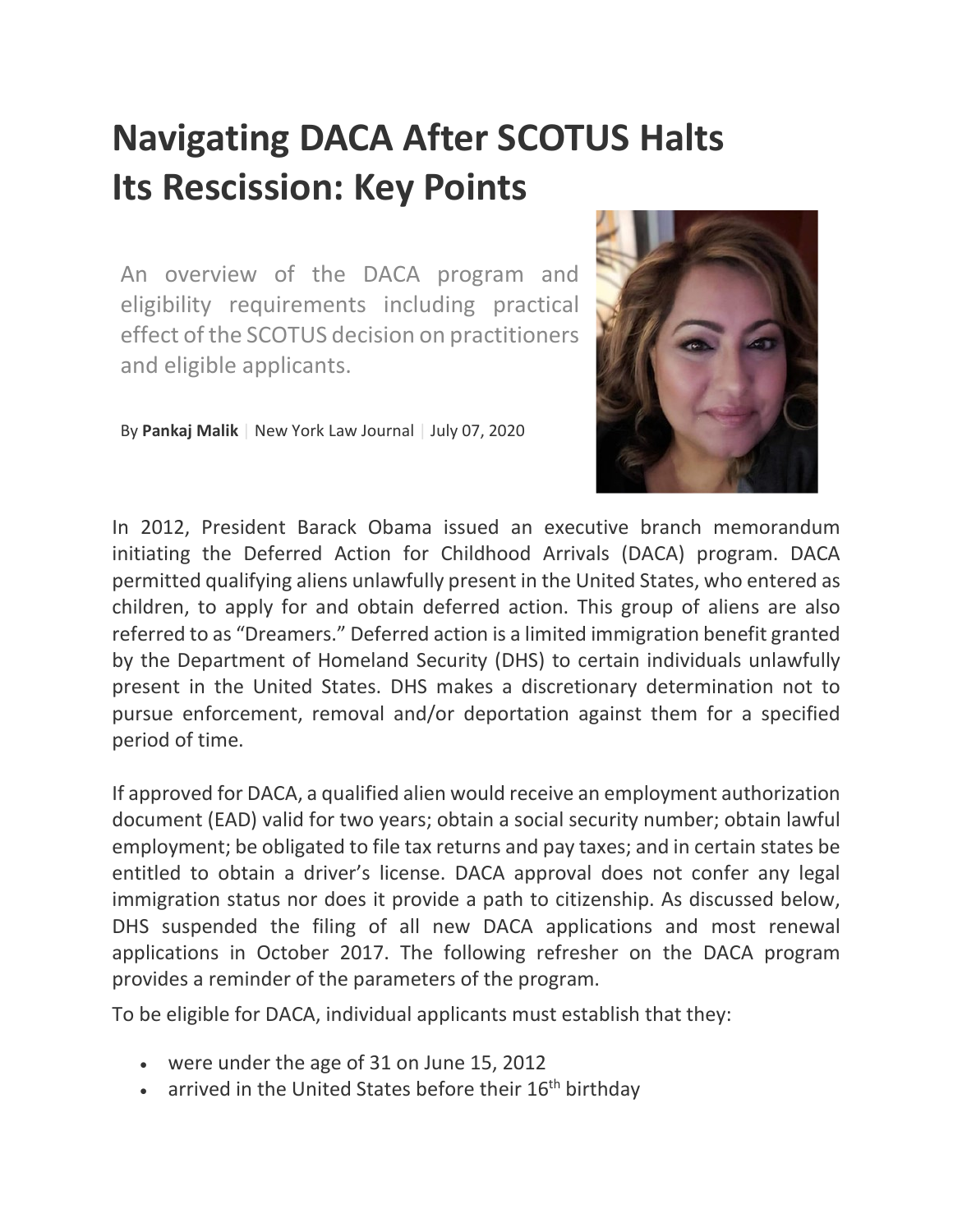# **Navigating DACA After SCOTUS Halts Its Rescission: Key Points**

An overview of the DACA program and eligibility requirements including practical effect of the SCOTUS decision on practitioners and eligible applicants.

By **Pankaj Malik** | New York Law Journal | July 07, 2020



In 2012, President Barack Obama issued an executive branch memorandum initiating the Deferred Action for Childhood Arrivals (DACA) program. DACA permitted qualifying aliens unlawfully present in the United States, who entered as children, to apply for and obtain deferred action. This group of aliens are also referred to as "Dreamers." Deferred action is a limited immigration benefit granted by the Department of Homeland Security (DHS) to certain individuals unlawfully present in the United States. DHS makes a discretionary determination not to pursue enforcement, removal and/or deportation against them for a specified period of time.

If approved for DACA, a qualified alien would receive an employment authorization document (EAD) valid for two years; obtain a social security number; obtain lawful employment; be obligated to file tax returns and pay taxes; and in certain states be entitled to obtain a driver's license. DACA approval does not confer any legal immigration status nor does it provide a path to citizenship. As discussed below, DHS suspended the filing of all new DACA applications and most renewal applications in October 2017. The following refresher on the DACA program provides a reminder of the parameters of the program.

To be eligible for DACA, individual applicants must establish that they:

- were under the age of 31 on June 15, 2012
- arrived in the United States before their  $16<sup>th</sup>$  birthday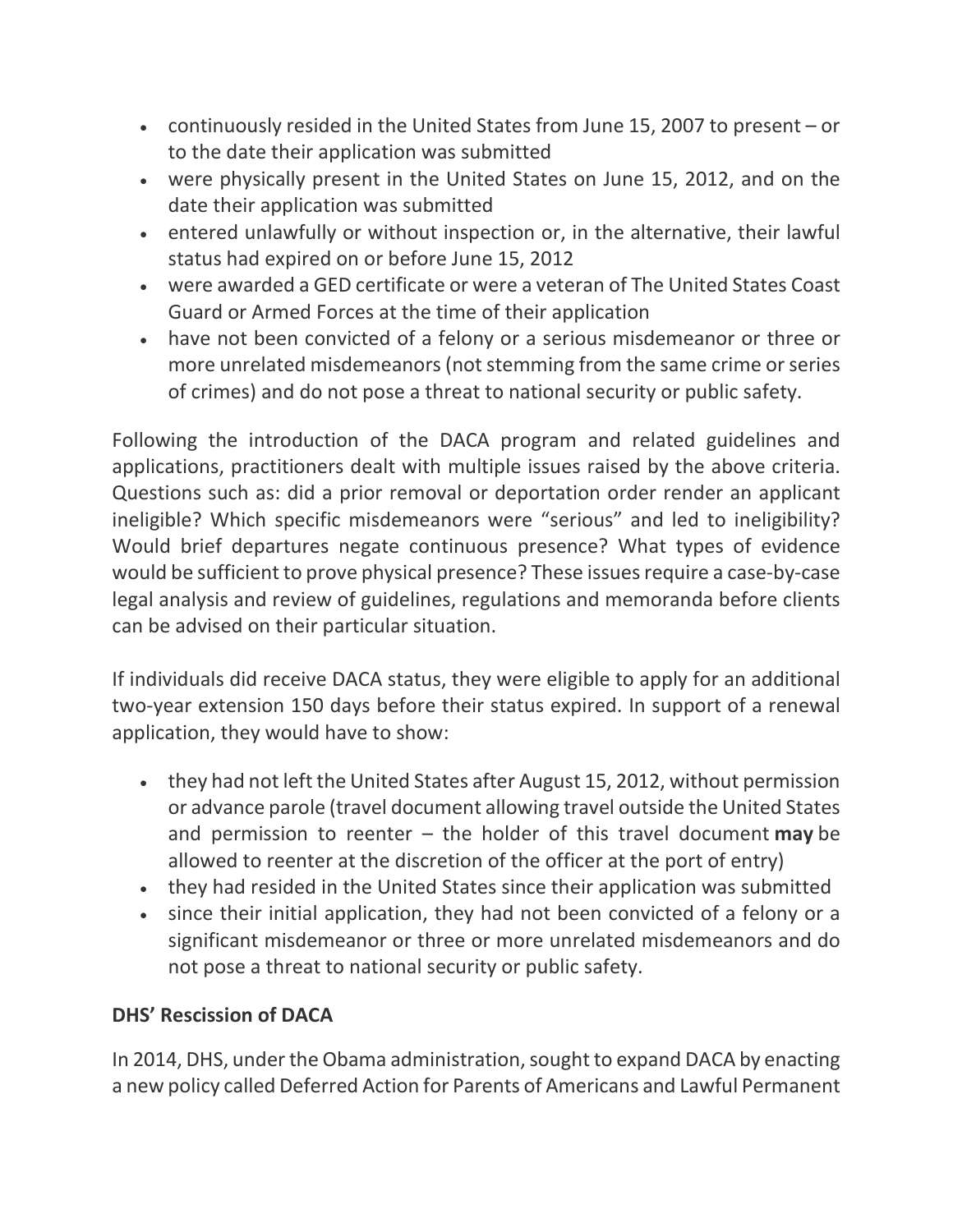- continuously resided in the United States from June 15, 2007 to present or to the date their application was submitted
- were physically present in the United States on June 15, 2012, and on the date their application was submitted
- entered unlawfully or without inspection or, in the alternative, their lawful status had expired on or before June 15, 2012
- were awarded a GED certificate or were a veteran of The United States Coast Guard or Armed Forces at the time of their application
- have not been convicted of a felony or a serious misdemeanor or three or more unrelated misdemeanors (not stemming from the same crime or series of crimes) and do not pose a threat to national security or public safety.

Following the introduction of the DACA program and related guidelines and applications, practitioners dealt with multiple issues raised by the above criteria. Questions such as: did a prior removal or deportation order render an applicant ineligible? Which specific misdemeanors were "serious" and led to ineligibility? Would brief departures negate continuous presence? What types of evidence would be sufficient to prove physical presence? These issues require a case-by-case legal analysis and review of guidelines, regulations and memoranda before clients can be advised on their particular situation.

If individuals did receive DACA status, they were eligible to apply for an additional two-year extension 150 days before their status expired. In support of a renewal application, they would have to show:

- they had not left the United States after August 15, 2012, without permission or advance parole (travel document allowing travel outside the United States and permission to reenter – the holder of this travel document **may** be allowed to reenter at the discretion of the officer at the port of entry)
- they had resided in the United States since their application was submitted
- since their initial application, they had not been convicted of a felony or a significant misdemeanor or three or more unrelated misdemeanors and do not pose a threat to national security or public safety.

### **DHS' Rescission of DACA**

In 2014, DHS, under the Obama administration, sought to expand DACA by enacting a new policy called Deferred Action for Parents of Americans and Lawful Permanent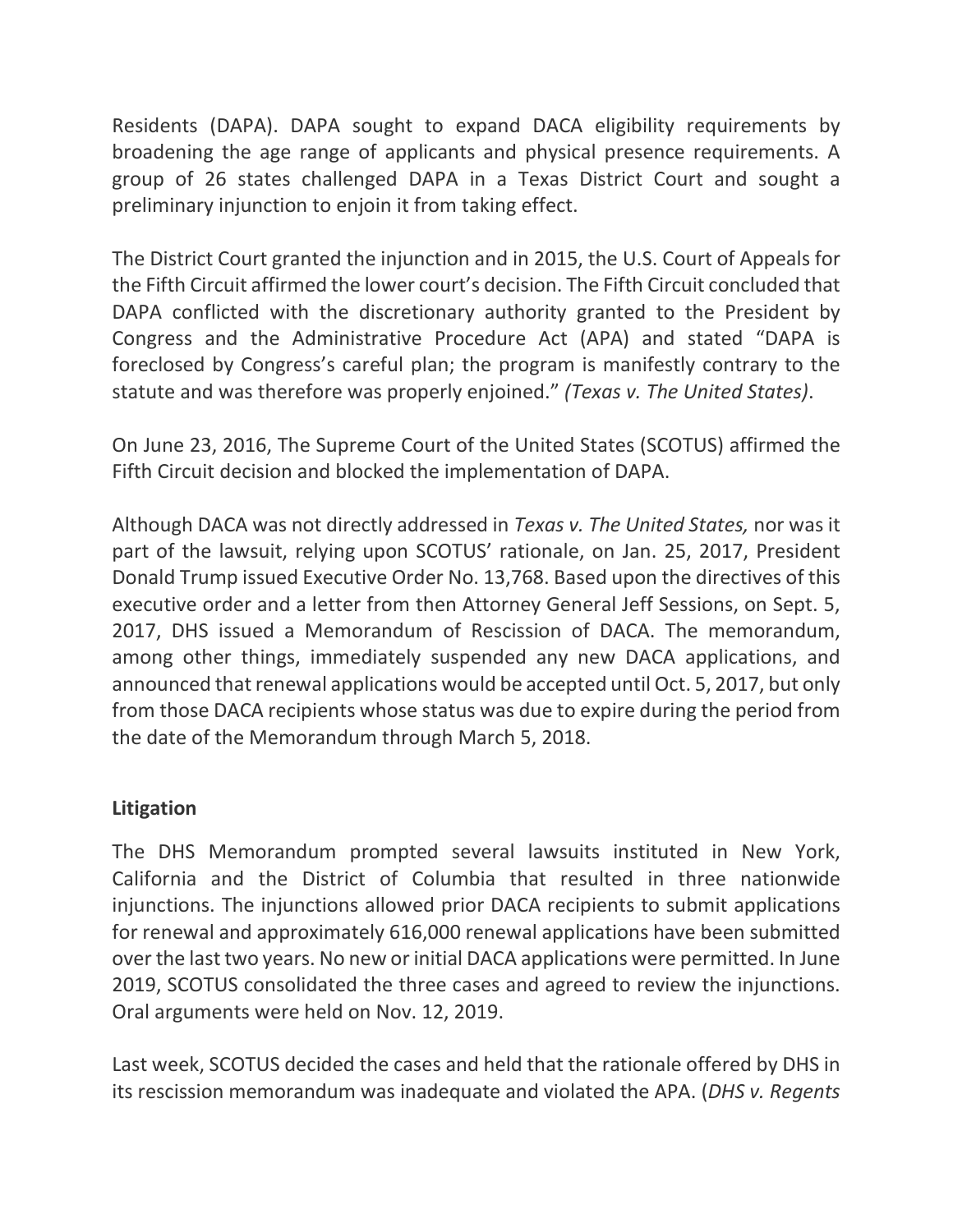Residents (DAPA). DAPA sought to expand DACA eligibility requirements by broadening the age range of applicants and physical presence requirements. A group of 26 states challenged DAPA in a Texas District Court and sought a preliminary injunction to enjoin it from taking effect.

The District Court granted the injunction and in 2015, the U.S. Court of Appeals for the Fifth Circuit affirmed the lower court's decision. The Fifth Circuit concluded that DAPA conflicted with the discretionary authority granted to the President by Congress and the Administrative Procedure Act (APA) and stated "DAPA is foreclosed by Congress's careful plan; the program is manifestly contrary to the statute and was therefore was properly enjoined." *(Texas v. The United States)*.

On June 23, 2016, The Supreme Court of the United States (SCOTUS) affirmed the Fifth Circuit decision and blocked the implementation of DAPA.

Although DACA was not directly addressed in *Texas v. The United States,* nor was it part of the lawsuit, relying upon SCOTUS' rationale, on Jan. 25, 2017, President Donald Trump issued Executive Order No. 13,768. Based upon the directives of this executive order and a letter from then Attorney General Jeff Sessions, on Sept. 5, 2017, DHS issued a Memorandum of Rescission of DACA. The memorandum, among other things, immediately suspended any new DACA applications, and announced that renewal applications would be accepted until Oct. 5, 2017, but only from those DACA recipients whose status was due to expire during the period from the date of the Memorandum through March 5, 2018.

#### **Litigation**

The DHS Memorandum prompted several lawsuits instituted in New York, California and the District of Columbia that resulted in three nationwide injunctions. The injunctions allowed prior DACA recipients to submit applications for renewal and approximately 616,000 renewal applications have been submitted over the last two years. No new or initial DACA applications were permitted. In June 2019, SCOTUS consolidated the three cases and agreed to review the injunctions. Oral arguments were held on Nov. 12, 2019.

Last week, SCOTUS decided the cases and held that the rationale offered by DHS in its rescission memorandum was inadequate and violated the APA. (*DHS v. Regents*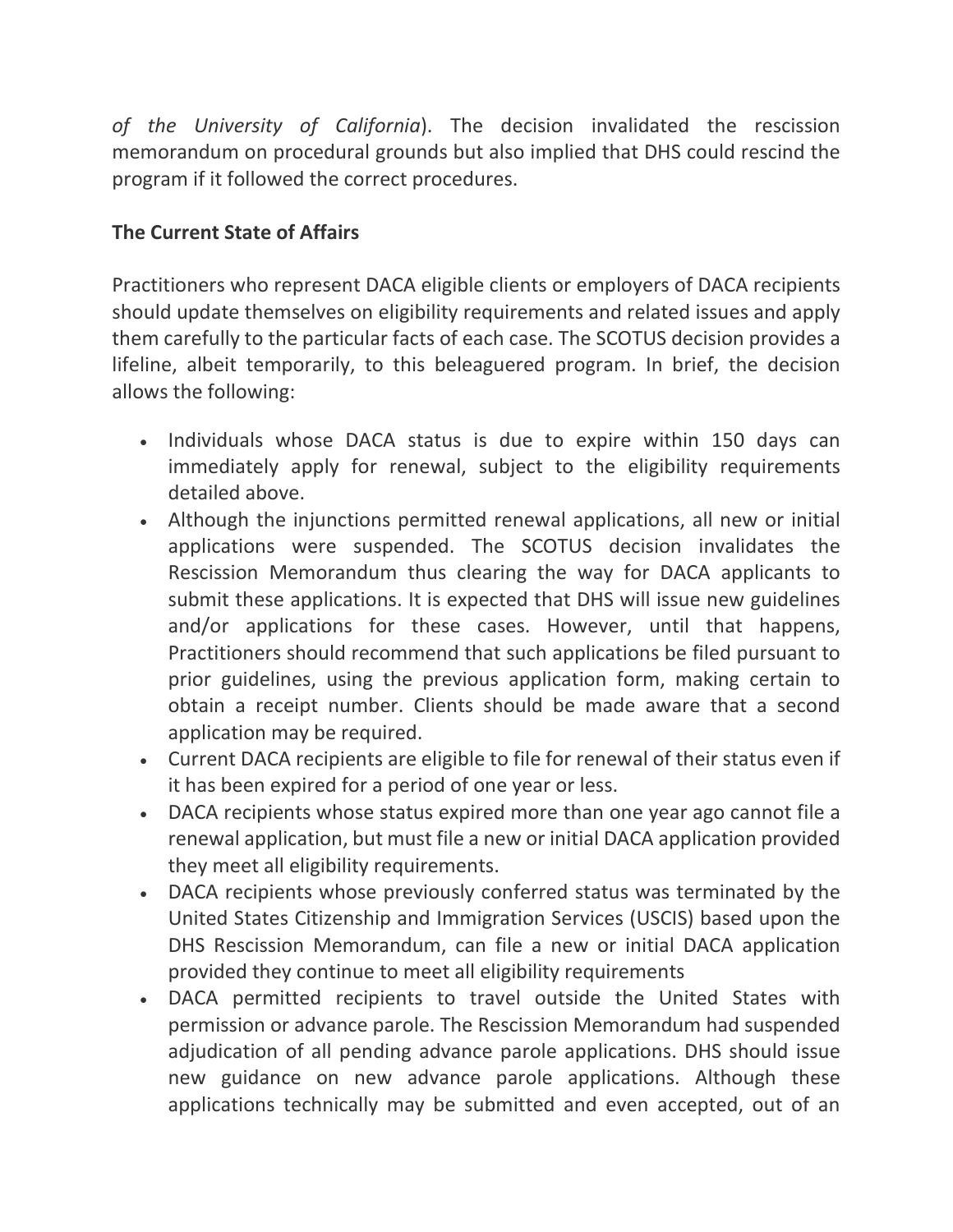*of the University of California*). The decision invalidated the rescission memorandum on procedural grounds but also implied that DHS could rescind the program if it followed the correct procedures.

## **The Current State of Affairs**

Practitioners who represent DACA eligible clients or employers of DACA recipients should update themselves on eligibility requirements and related issues and apply them carefully to the particular facts of each case. The SCOTUS decision provides a lifeline, albeit temporarily, to this beleaguered program. In brief, the decision allows the following:

- Individuals whose DACA status is due to expire within 150 days can immediately apply for renewal, subject to the eligibility requirements detailed above.
- Although the injunctions permitted renewal applications, all new or initial applications were suspended. The SCOTUS decision invalidates the Rescission Memorandum thus clearing the way for DACA applicants to submit these applications. It is expected that DHS will issue new guidelines and/or applications for these cases. However, until that happens, Practitioners should recommend that such applications be filed pursuant to prior guidelines, using the previous application form, making certain to obtain a receipt number. Clients should be made aware that a second application may be required.
- Current DACA recipients are eligible to file for renewal of their status even if it has been expired for a period of one year or less.
- DACA recipients whose status expired more than one year ago cannot file a renewal application, but must file a new or initial DACA application provided they meet all eligibility requirements.
- DACA recipients whose previously conferred status was terminated by the United States Citizenship and Immigration Services (USCIS) based upon the DHS Rescission Memorandum, can file a new or initial DACA application provided they continue to meet all eligibility requirements
- DACA permitted recipients to travel outside the United States with permission or advance parole. The Rescission Memorandum had suspended adjudication of all pending advance parole applications. DHS should issue new guidance on new advance parole applications. Although these applications technically may be submitted and even accepted, out of an